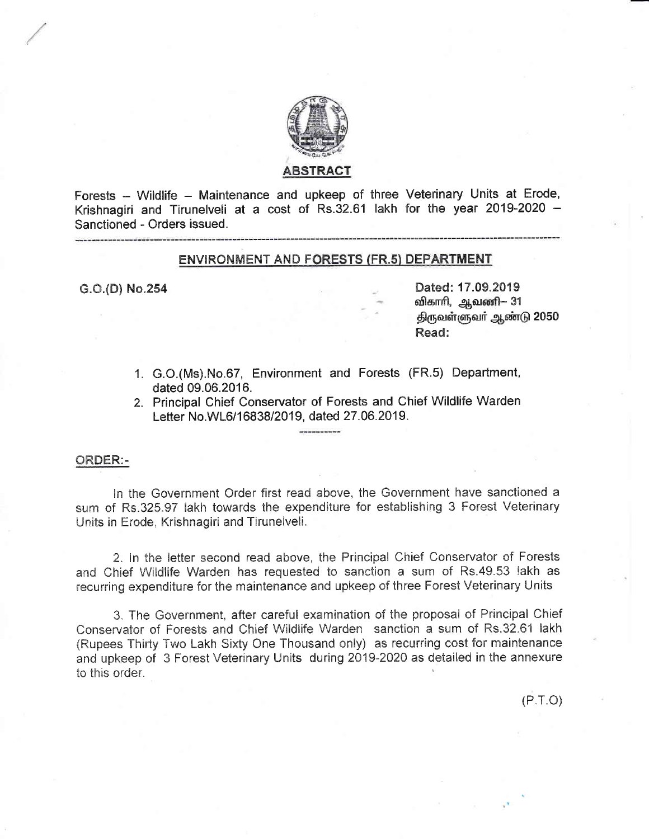

Forests - Wildlife - Maintenance and upkeep of three Veterinary Units at Erode, Krishnagiri and Tirunelveli at a cost of Rs.32.61 lakh for the year 2019-2020 -Sanctioned - Orders issued.

#### **ENVIRONMENT AND FORESTS (FR.5) DEPARTMENT**

#### G.O.(D) No.254

Dated: 17.09.2019 விகாரி, ஆவணி– 31 திருவள்ளுவர் ஆண்டு 2050 Read:

- 1. G.O. (Ms). No.67, Environment and Forests (FR.5) Department, dated 09.06.2016.
- 2. Principal Chief Conservator of Forests and Chief Wildlife Warden Letter No.WL6/16838/2019, dated 27.06.2019.

#### ORDER:-

In the Government Order first read above, the Government have sanctioned a sum of Rs.325.97 lakh towards the expenditure for establishing 3 Forest Veterinary Units in Erode, Krishnagiri and Tirunelveli.

2. In the letter second read above, the Principal Chief Conservator of Forests and Chief Wildlife Warden has requested to sanction a sum of Rs.49.53 lakh as recurring expenditure for the maintenance and upkeep of three Forest Veterinary Units

3. The Government, after careful examination of the proposal of Principal Chief Conservator of Forests and Chief Wildlife Warden sanction a sum of Rs.32.61 lakh (Rupees Thirty Two Lakh Sixty One Thousand only) as recurring cost for maintenance and upkeep of 3 Forest Veterinary Units during 2019-2020 as detailed in the annexure to this order.

 $(P.T.O)$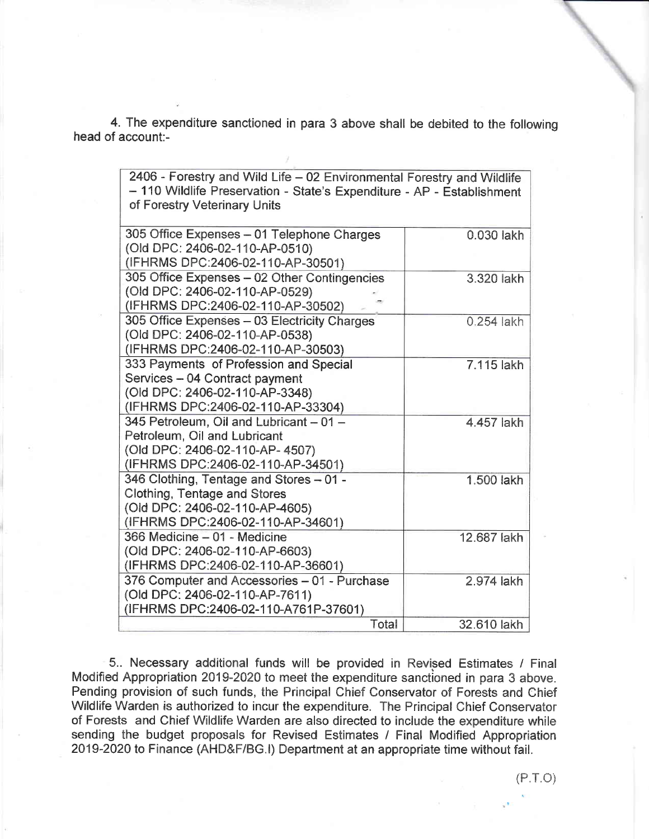4. The expenditure sanctioned in para 3 above shall be debited to the following head of account:-

 $\sqrt{2400}$ 

| 2400 - Polestry and VVIId Life – UZ Environmental Porestry and VVIIdilife<br>- 110 Wildlife Preservation - State's Expenditure - AP - Establishment<br>of Forestry Veterinary Units |             |
|-------------------------------------------------------------------------------------------------------------------------------------------------------------------------------------|-------------|
| 305 Office Expenses - 01 Telephone Charges<br>(Old DPC: 2406-02-110-AP-0510)<br>(IFHRMS DPC:2406-02-110-AP-30501)                                                                   | 0.030 lakh  |
| 305 Office Expenses - 02 Other Contingencies<br>(Old DPC: 2406-02-110-AP-0529)<br>(IFHRMS DPC:2406-02-110-AP-30502)                                                                 | 3.320 lakh  |
| 305 Office Expenses - 03 Electricity Charges<br>(Old DPC: 2406-02-110-AP-0538)<br>(IFHRMS DPC:2406-02-110-AP-30503)                                                                 | 0.254 lakh  |
| 333 Payments of Profession and Special<br>Services - 04 Contract payment<br>(Old DPC: 2406-02-110-AP-3348)<br>(IFHRMS DPC:2406-02-110-AP-33304)                                     | 7.115 lakh  |
| 345 Petroleum, Oil and Lubricant - 01 -<br>Petroleum, Oil and Lubricant<br>(Old DPC: 2406-02-110-AP- 4507)<br>(IFHRMS DPC:2406-02-110-AP-34501)                                     | 4.457 lakh  |
| 346 Clothing, Tentage and Stores - 01 -<br><b>Clothing, Tentage and Stores</b><br>(Old DPC: 2406-02-110-AP-4605)<br>(IFHRMS DPC:2406-02-110-AP-34601)                               | 1.500 lakh  |
| 366 Medicine - 01 - Medicine<br>(Old DPC: 2406-02-110-AP-6603)<br>(IFHRMS DPC:2406-02-110-AP-36601)                                                                                 | 12.687 lakh |
| 376 Computer and Accessories - 01 - Purchase<br>(Old DPC: 2406-02-110-AP-7611)<br>(IFHRMS DPC:2406-02-110-A761P-37601)                                                              | 2.974 lakh  |
| Total                                                                                                                                                                               | 32.610 lakh |

5.. Necessary additional funds will be provided in Revised Estimates / Final Modified Appropriation 2019-2020 to meet the expenditure sanctioned in para 3 above. Pending provision of such funds, the Principal Chief Conservator of Forests and Chief Wildlife Warden is authorized to incur the expenditure. The Principal Chief Conservator of Forests and Chief Wildlife Warden are also directed to include the expenditure while sending the budget proposals for Revised Estimates / Final Modified Appropriation 2019-2020 to Finance (AHD&F/BG.I) Department at an appropriate time without fail.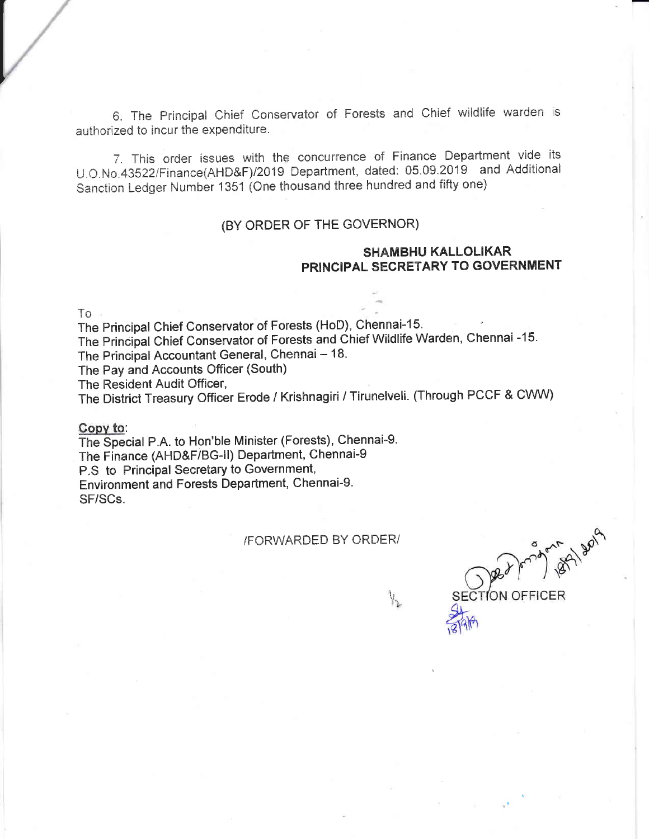6. The Principal Chief Conservator of Forests and Chief wildlife warden is authorized to incur the expenditure.

7. This order issues with the concurrence of Finance Department vide its U.O.No.43522/Finance(AHD&F)/2019 Department, dated: 05.09.2019 and Additional Sanction Ledger Number 1351 (One thousand three hundred and fifty one)

### (BY ORDER OF THE GOVERNOR)

## **SHAMBHU KALLOLIKAR** PRINCIPAL SECRETARY TO GOVERNMENT

 $To -$ 

The Principal Chief Conservator of Forests (HoD), Chennai-15. The Principal Chief Conservator of Forests and Chief Wildlife Warden, Chennai -15. The Principal Accountant General, Chennai - 18. The Pay and Accounts Officer (South)

The Resident Audit Officer,

The District Treasury Officer Erode / Krishnagiri / Tirunelveli. (Through PCCF & CWW)

#### Copy to:

The Special P.A. to Hon'ble Minister (Forests), Chennai-9. The Finance (AHD&F/BG-II) Department, Chennai-9 P.S to Principal Secretary to Government, Environment and Forests Department, Chennai-9. SF/SCs.

#### /FORWARDED BY ORDER/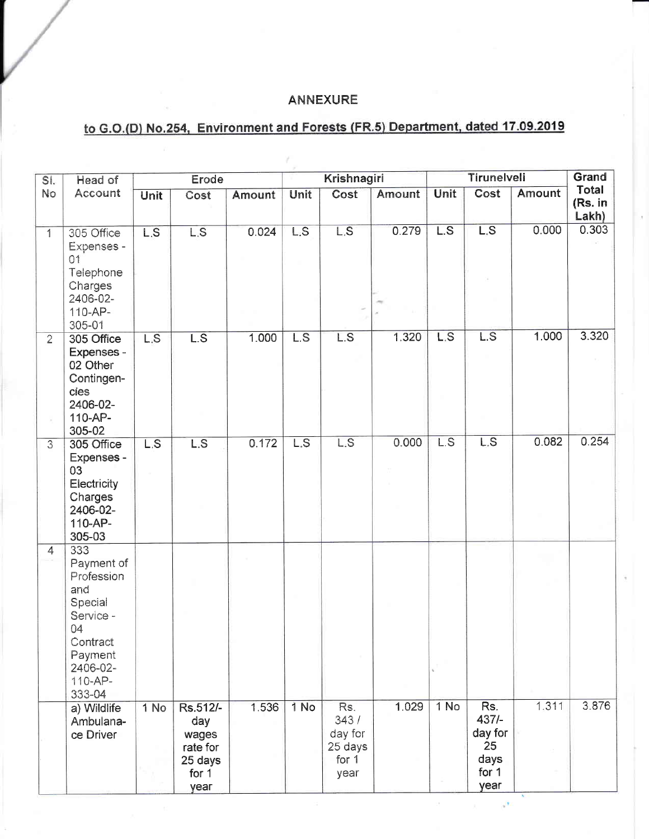## **ANNEXURE**

# to G.O.(D) No.254, Environment and Forests (FR.5) Department, dated 17.09.2019

| SI.            | Head of                                                                                                                      | Erode                              |                                                                  |        |                 | Krishnagiri                                        |               | <b>Tirunelveli</b> |                                                          |               | Grand                            |
|----------------|------------------------------------------------------------------------------------------------------------------------------|------------------------------------|------------------------------------------------------------------|--------|-----------------|----------------------------------------------------|---------------|--------------------|----------------------------------------------------------|---------------|----------------------------------|
| No             | Account                                                                                                                      | Unit                               | Cost                                                             | Amount | Unit            | Cost                                               | <b>Amount</b> | Unit               | Cost                                                     | <b>Amount</b> | <b>Total</b><br>(Rs. in<br>Lakh) |
| $\mathbf{1}$   | 305 Office<br>Expenses -<br>01<br>Telephone<br>Charges<br>2406-02-<br>110-AP-<br>305-01                                      | L.S                                | $\overline{\text{LS}}$                                           | 0.024  | LS              | $\overline{LS}$                                    | 0.279         | LS                 | LS                                                       | 0.000         | 0.303                            |
| $\overline{2}$ | 305 Office<br>Expenses -<br>02 Other<br>Contingen-<br>cies<br>2406-02-<br>110-AP-<br>305-02                                  | L.S                                | $\overline{LS}$                                                  | 1.000  | $\overline{LS}$ | L.S                                                | 1.320         | L.S                | $\overline{LS}$                                          | 1.000         | 3.320                            |
| 3              | 305 Office<br><b>Expenses -</b><br>03<br>Electricity<br>Charges<br>2406-02-<br>110-AP-<br>305-03                             | $\overline{\mathsf{L}.\mathsf{S}}$ | L.S                                                              | 0.172  | L.S             | $\overline{LS}$                                    | 0.000         | $\overline{LS}$    | LS                                                       | 0.082         | 0.254                            |
| $\overline{4}$ | 333<br>Payment of<br>Profession<br>and<br>Special<br>Service -<br>04<br>Contract<br>Payment<br>2406-02-<br>110-AP-<br>333-04 |                                    |                                                                  |        |                 |                                                    |               |                    |                                                          |               |                                  |
|                | a) Wildlife<br>Ambulana-<br>ce Driver                                                                                        | 1 No                               | Rs.512/-<br>day<br>wages<br>rate for<br>25 days<br>for 1<br>year | 1.536  | 1 No            | Rs.<br>343/<br>day for<br>25 days<br>for 1<br>year | 1.029         | 1 No               | Rs.<br>$437/-$<br>day for<br>25<br>days<br>for 1<br>year | 1.311         | 3.876                            |